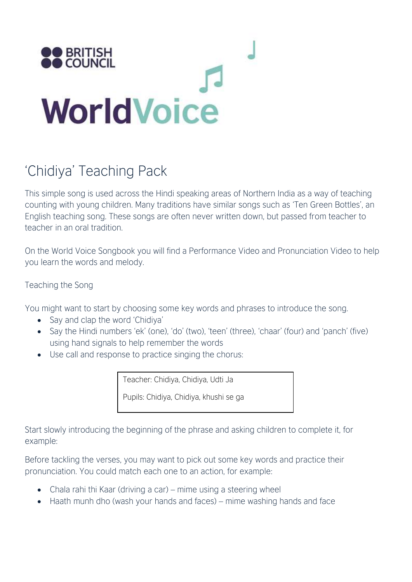

## 'Chidiya' Teaching Pack

This simple song is used across the Hindi speaking areas of Northern India as a way of teaching counting with young children. Many traditions have similar songs such as 'Ten Green Bottles', an English teaching song. These songs are often never written down, but passed from teacher to teacher in an oral tradition.

On the World Voice Songbook you will find a Performance Video and Pronunciation Video to help you learn the words and melody.

## Teaching the Song

You might want to start by choosing some key words and phrases to introduce the song.

- Say and clap the word 'Chidiya'
- Say the Hindi numbers 'ek' (one), 'do' (two), 'teen' (three), 'chaar' (four) and 'panch' (five) using hand signals to help remember the words
- Use call and response to practice singing the chorus:

Teacher: Chidiya, Chidiya, Udti Ja

Pupils: Chidiya, Chidiya, khushi se ga

Start slowly introducing the beginning of the phrase and asking children to complete it, for example:

Before tackling the verses, you may want to pick out some key words and practice their pronunciation. You could match each one to an action, for example:

- Chala rahi thi Kaar (driving a car) mime using a steering wheel
- Haath munh dho (wash your hands and faces) mime washing hands and face